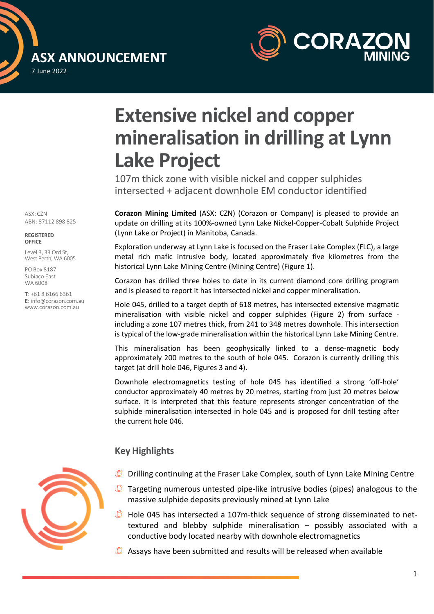



# **Extensive nickel and copper mineralisation in drilling at Lynn Lake Project**

107m thick zone with visible nickel and copper sulphides intersected + adjacent downhole EM conductor identified

**Corazon Mining Limited** (ASX: CZN) (Corazon or Company) is pleased to provide an update on drilling at its 100%-owned Lynn Lake Nickel-Copper-Cobalt Sulphide Project (Lynn Lake or Project) in Manitoba, Canada.

Exploration underway at Lynn Lake is focused on the Fraser Lake Complex (FLC), a large metal rich mafic intrusive body, located approximately five kilometres from the historical Lynn Lake Mining Centre (Mining Centre) (Figure 1).

Corazon has drilled three holes to date in its current diamond core drilling program and is pleased to report it has intersected nickel and copper mineralisation.

Hole 045, drilled to a target depth of 618 metres, has intersected extensive magmatic mineralisation with visible nickel and copper sulphides (Figure 2) from surface including a zone 107 metres thick, from 241 to 348 metres downhole. This intersection is typical of the low-grade mineralisation within the historical Lynn Lake Mining Centre.

This mineralisation has been geophysically linked to a dense-magnetic body approximately 200 metres to the south of hole 045. Corazon is currently drilling this target (at drill hole 046, Figures 3 and 4).

Downhole electromagnetics testing of hole 045 has identified a strong 'off-hole' conductor approximately 40 metres by 20 metres, starting from just 20 metres below surface. It is interpreted that this feature represents stronger concentration of the sulphide mineralisation intersected in hole 045 and is proposed for drill testing after the current hole 046.

#### **Key Highlights**



- Drilling continuing at the Fraser Lake Complex, south of Lynn Lake Mining Centre
- Targeting numerous untested pipe-like intrusive bodies (pipes) analogous to the massive sulphide deposits previously mined at Lynn Lake
- 0 Hole 045 has intersected a 107m-thick sequence of strong disseminated to nettextured and blebby sulphide mineralisation – possibly associated with a conductive body located nearby with downhole electromagnetics
- Assays have been submitted and results will be released when available

ASX: CZN ABN: 87112 898 825

**REGISTERED OFFICE**

Level 3, 33 Ord St, West Perth, WA 6005

PO Box 8187 Subiaco East WA 6008

**T**: +61 8 6166 6361 **E**: info@corazon.com.au www.corazon.com.au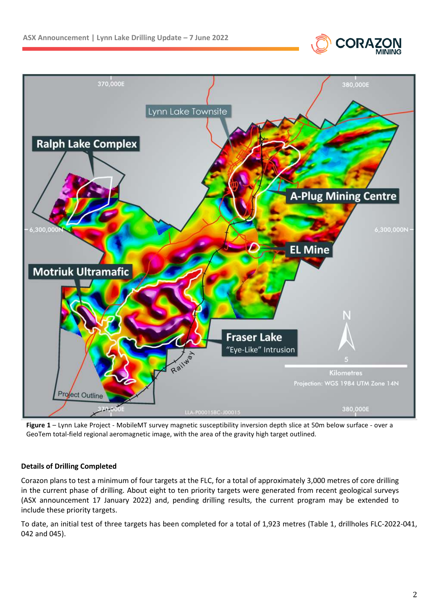



**Figure 1** – Lynn Lake Project - MobileMT survey magnetic susceptibility inversion depth slice at 50m below surface - over a GeoTem total-field regional aeromagnetic image, with the area of the gravity high target outlined.

#### **Details of Drilling Completed**

Corazon plans to test a minimum of four targets at the FLC, for a total of approximately 3,000 metres of core drilling in the current phase of drilling. About eight to ten priority targets were generated from recent geological surveys (ASX announcement 17 January 2022) and, pending drilling results, the current program may be extended to include these priority targets.

To date, an initial test of three targets has been completed for a total of 1,923 metres (Table 1, drillholes FLC-2022-041, 042 and 045).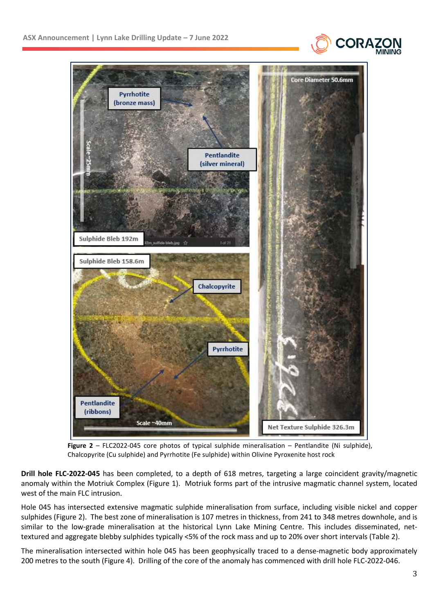



**Figure 2** – FLC2022-045 core photos of typical sulphide mineralisation – Pentlandite (Ni sulphide), Chalcopyrite (Cu sulphide) and Pyrrhotite (Fe sulphide) within Olivine Pyroxenite host rock

**Drill hole FLC-2022-045** has been completed, to a depth of 618 metres, targeting a large coincident gravity/magnetic anomaly within the Motriuk Complex (Figure 1). Motriuk forms part of the intrusive magmatic channel system, located west of the main FLC intrusion.

Hole 045 has intersected extensive magmatic sulphide mineralisation from surface, including visible nickel and copper sulphides (Figure 2). The best zone of mineralisation is 107 metres in thickness, from 241 to 348 metres downhole, and is similar to the low-grade mineralisation at the historical Lynn Lake Mining Centre. This includes disseminated, nettextured and aggregate blebby sulphides typically <5% of the rock mass and up to 20% over short intervals (Table 2).

The mineralisation intersected within hole 045 has been geophysically traced to a dense-magnetic body approximately 200 metres to the south (Figure 4). Drilling of the core of the anomaly has commenced with drill hole FLC-2022-046.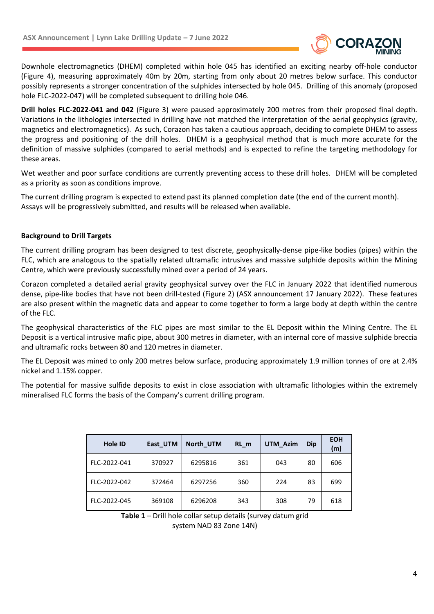

Downhole electromagnetics (DHEM) completed within hole 045 has identified an exciting nearby off-hole conductor (Figure 4), measuring approximately 40m by 20m, starting from only about 20 metres below surface. This conductor possibly represents a stronger concentration of the sulphides intersected by hole 045. Drilling of this anomaly (proposed hole FLC-2022-047) will be completed subsequent to drilling hole 046.

**Drill holes FLC-2022-041 and 042** (Figure 3) were paused approximately 200 metres from their proposed final depth. Variations in the lithologies intersected in drilling have not matched the interpretation of the aerial geophysics (gravity, magnetics and electromagnetics). As such, Corazon has taken a cautious approach, deciding to complete DHEM to assess the progress and positioning of the drill holes. DHEM is a geophysical method that is much more accurate for the definition of massive sulphides (compared to aerial methods) and is expected to refine the targeting methodology for these areas.

Wet weather and poor surface conditions are currently preventing access to these drill holes. DHEM will be completed as a priority as soon as conditions improve.

The current drilling program is expected to extend past its planned completion date (the end of the current month). Assays will be progressively submitted, and results will be released when available.

#### **Background to Drill Targets**

The current drilling program has been designed to test discrete, geophysically-dense pipe-like bodies (pipes) within the FLC, which are analogous to the spatially related ultramafic intrusives and massive sulphide deposits within the Mining Centre, which were previously successfully mined over a period of 24 years.

Corazon completed a detailed aerial gravity geophysical survey over the FLC in January 2022 that identified numerous dense, pipe-like bodies that have not been drill-tested (Figure 2) (ASX announcement 17 January 2022). These features are also present within the magnetic data and appear to come together to form a large body at depth within the centre of the FLC.

The geophysical characteristics of the FLC pipes are most similar to the EL Deposit within the Mining Centre. The EL Deposit is a vertical intrusive mafic pipe, about 300 metres in diameter, with an internal core of massive sulphide breccia and ultramafic rocks between 80 and 120 metres in diameter.

The EL Deposit was mined to only 200 metres below surface, producing approximately 1.9 million tonnes of ore at 2.4% nickel and 1.15% copper.

The potential for massive sulfide deposits to exist in close association with ultramafic lithologies within the extremely mineralised FLC forms the basis of the Company's current drilling program.

| <b>Hole ID</b> | East UTM | North UTM | RL m | UTM_Azim | Dip | <b>EOH</b><br>(m) |
|----------------|----------|-----------|------|----------|-----|-------------------|
| FLC-2022-041   | 370927   | 6295816   | 361  | 043      | 80  | 606               |
| FLC-2022-042   | 372464   | 6297256   | 360  | 224      | 83  | 699               |
| FLC-2022-045   | 369108   | 6296208   | 343  | 308      | 79  | 618               |

**Table 1** – Drill hole collar setup details (survey datum grid system NAD 83 Zone 14N)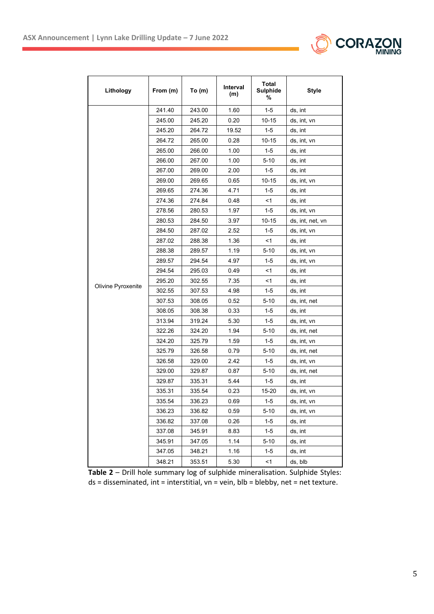

| Lithology          | From (m) | To $(m)$ | Interval<br>(m) | <b>Total</b><br><b>Sulphide</b><br>℅ | <b>Style</b>     |
|--------------------|----------|----------|-----------------|--------------------------------------|------------------|
|                    | 241.40   | 243.00   | 1.60            | $1-5$                                | ds, int          |
|                    | 245.00   | 245.20   | 0.20            | 10-15                                | ds, int, vn      |
|                    | 245.20   | 264.72   | 19.52           | 1-5                                  | ds, int          |
|                    | 264.72   | 265.00   | 0.28            | 10-15                                | ds, int, vn      |
|                    | 265.00   | 266.00   | 1.00            | 1-5                                  | ds, int          |
|                    | 266.00   | 267.00   | 1.00            | $5 - 10$                             | ds, int          |
|                    | 267.00   | 269.00   | 2.00            | 1-5                                  | ds, int          |
|                    | 269.00   | 269.65   | 0.65            | 10-15                                | ds, int, vn      |
|                    | 269.65   | 274.36   | 4.71            | 1-5                                  | ds, int          |
|                    | 274.36   | 274.84   | 0.48            | <1                                   | ds, int          |
|                    | 278.56   | 280.53   | 1.97            | $1-5$                                | ds, int, vn      |
|                    | 280.53   | 284.50   | 3.97            | 10-15                                | ds, int, net, vn |
|                    | 284.50   | 287.02   | 2.52            | 1-5                                  | ds, int, vn      |
|                    | 287.02   | 288.38   | 1.36            | <1                                   | ds, int          |
|                    | 288.38   | 289.57   | 1.19            | $5 - 10$                             | ds, int, vn      |
|                    | 289.57   | 294.54   | 4.97            | 1-5                                  | ds, int, vn      |
|                    | 294.54   | 295.03   | 0.49            | <1                                   | ds, int          |
|                    | 295.20   | 302.55   | 7.35            | <1                                   | ds, int          |
| Olivine Pyroxenite | 302.55   | 307.53   | 4.98            | 1-5                                  | ds, int          |
|                    | 307.53   | 308.05   | 0.52            | 5-10                                 | ds, int, net     |
|                    | 308.05   | 308.38   | 0.33            | 1-5                                  | ds, int          |
|                    | 313.94   | 319.24   | 5.30            | 1-5                                  | ds, int, vn      |
|                    | 322.26   | 324.20   | 1.94            | $5 - 10$                             | ds, int, net     |
|                    | 324.20   | 325.79   | 1.59            | 1-5                                  | ds, int, vn      |
|                    | 325.79   | 326.58   | 0.79            | $5 - 10$                             | ds, int, net     |
|                    | 326.58   | 329.00   | 2.42            | $1-5$                                | ds, int, vn      |
|                    | 329.00   | 329.87   | 0.87            | $5 - 10$                             | ds, int, net     |
|                    | 329.87   | 335.31   | 5.44            | 1-5                                  | ds, int          |
|                    | 335.31   | 335.54   | 0.23            | 15-20                                | ds, int, vn      |
|                    | 335.54   | 336.23   | 0.69            | 1-5                                  | ds, int, vn      |
|                    | 336.23   | 336.82   | 0.59            | $5 - 10$                             | ds, int, vn      |
|                    | 336.82   | 337.08   | 0.26            | $1 - 5$                              | ds, int          |
|                    | 337.08   | 345.91   | 8.83            | $1 - 5$                              | ds, int          |
|                    | 345.91   | 347.05   | 1.14            | $5 - 10$                             | ds, int          |
|                    | 347.05   | 348.21   | 1.16            | 1-5                                  | ds, int          |
|                    | 348.21   | 353.51   | 5.30            | <1                                   | ds, blb          |

**Table 2** – Drill hole summary log of sulphide mineralisation. Sulphide Styles: ds = disseminated, int = interstitial, vn = vein, blb = blebby, net = net texture.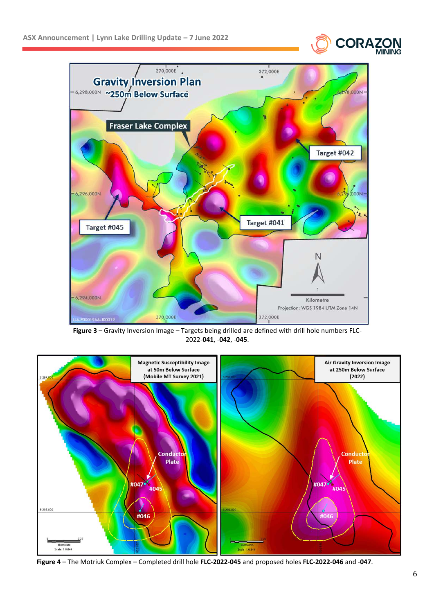



**Figure 3** – Gravity Inversion Image – Targets being drilled are defined with drill hole numbers FLC-2022-**041**, -**042**, -**045**.



**Figure 4** – The Motriuk Complex – Completed drill hole **FLC-2022-045** and proposed holes **FLC-2022-046** and -**047**.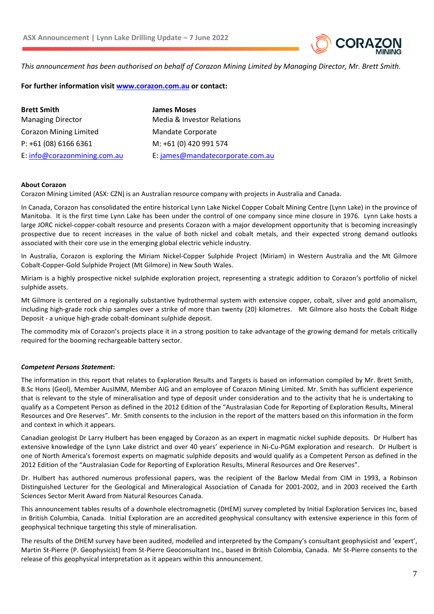

*This announcement has been authorised on behalf of Corazon Mining Limited by Managing Director, Mr. Brett Smith.* 

**For further information visit www.corazon.com.au or contact:** 

**Brett Smith James Moses**  Managing Director Media & Investor Relations Corazon Mining Limited Mandate Corporate P: +61 (08) 6166 6361 M: +61 (0) 420 991 574 E: info@corazonmining.com.au E: james@mandatecorporate.com.au

#### **About Corazon**

Corazon Mining Limited (ASX: CZN) is an Australian resource company with projects in Australia and Canada.

In Canada, Corazon has consolidated the entire historical Lynn Lake Nickel Copper Cobalt Mining Centre (Lynn Lake) in the province of Manitoba. It is the first time Lynn Lake has been under the control of one company since mine closure in 1976. Lynn Lake hosts a large JORC nickel-copper-cobalt resource and presents Corazon with a major development opportunity that is becoming increasingly prospective due to recent increases in the value of both nickel and cobalt metals, and their expected strong demand outlooks associated with their core use in the emerging global electric vehicle industry.

In Australia, Corazon is exploring the Miriam Nickel-Copper Sulphide Project (Miriam) in Western Australia and the Mt Gilmore Cobalt-Copper-Gold Sulphide Project (Mt Gilmore) in New South Wales.

Miriam is a highly prospective nickel sulphide exploration project, representing a strategic addition to Corazon's portfolio of nickel sulphide assets.

Mt Gilmore is centered on a regionally substantive hydrothermal system with extensive copper, cobalt, silver and gold anomalism, including high-grade rock chip samples over a strike of more than twenty (20) kilometres. Mt Gilmore also hosts the Cobalt Ridge Deposit - a unique high-grade cobalt-dominant sulphide deposit.

The commodity mix of Corazon's projects place it in a strong position to take advantage of the growing demand for metals critically required for the booming rechargeable battery sector.

#### *Competent Persons Statement***:**

The information in this report that relates to Exploration Results and Targets is based on information compiled by Mr. Brett Smith, B.Sc Hons (Geol), Member AusIMM, Member AIG and an employee of Corazon Mining Limited. Mr. Smith has sufficient experience that is relevant to the style of mineralisation and type of deposit under consideration and to the activity that he is undertaking to qualify as a Competent Person as defined in the 2012 Edition of the "Australasian Code for Reporting of Exploration Results, Mineral Resources and Ore Reserves". Mr. Smith consents to the inclusion in the report of the matters based on this information in the form and context in which it appears.

Canadian geologist Dr Larry Hulbert has been engaged by Corazon as an expert in magmatic nickel suphide deposits. Dr Hulbert has extensive knowledge of the Lynn Lake district and over 40 years' experience in Ni-Cu-PGM exploration and research. Dr Hulbert is one of North America's foremost experts on magmatic sulphide deposits and would qualify as a Competent Person as defined in the 2012 Edition of the "Australasian Code for Reporting of Exploration Results, Mineral Resources and Ore Reserves".

Dr. Hulbert has authored numerous professional papers, was the recipient of the Barlow Medal from CIM in 1993, a Robinson Distinguished Lecturer for the Geological and Mineralogical Association of Canada for 2001-2002, and in 2003 received the Earth Sciences Sector Merit Award from Natural Resources Canada.

This announcement tables results of a downhole electromagnetic (DHEM) survey completed by Initial Exploration Services Inc, based in British Columbia, Canada. Initial Exploration are an accredited geophysical consultancy with extensive experience in this form of geophysical technique targeting this style of mineralisation.

The results of the DHEM survey have been audited, modelled and interpreted by the Company's consultant geophysicist and 'expert', Martin St-Pierre (P. Geophysicist) from St-Pierre Geoconsultant Inc., based in British Colombia, Canada. Mr St-Pierre consents to the release of this geophysical interpretation as it appears within this announcement.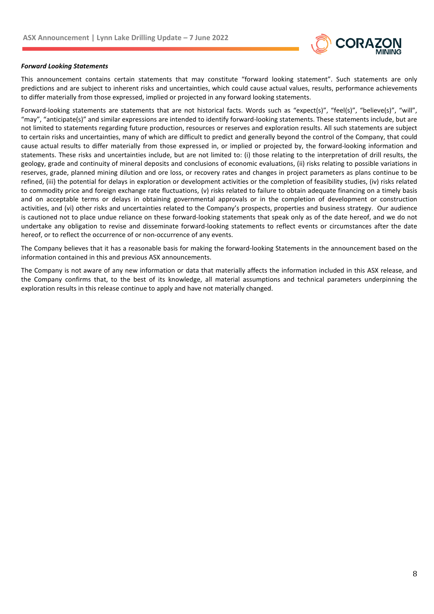

#### *Forward Looking Statements*

This announcement contains certain statements that may constitute "forward looking statement". Such statements are only predictions and are subject to inherent risks and uncertainties, which could cause actual values, results, performance achievements to differ materially from those expressed, implied or projected in any forward looking statements.

Forward-looking statements are statements that are not historical facts. Words such as "expect(s)", "feel(s)", "believe(s)", "will", "may", "anticipate(s)" and similar expressions are intended to identify forward-looking statements. These statements include, but are not limited to statements regarding future production, resources or reserves and exploration results. All such statements are subject to certain risks and uncertainties, many of which are difficult to predict and generally beyond the control of the Company, that could cause actual results to differ materially from those expressed in, or implied or projected by, the forward-looking information and statements. These risks and uncertainties include, but are not limited to: (i) those relating to the interpretation of drill results, the geology, grade and continuity of mineral deposits and conclusions of economic evaluations, (ii) risks relating to possible variations in reserves, grade, planned mining dilution and ore loss, or recovery rates and changes in project parameters as plans continue to be refined, (iii) the potential for delays in exploration or development activities or the completion of feasibility studies, (iv) risks related to commodity price and foreign exchange rate fluctuations, (v) risks related to failure to obtain adequate financing on a timely basis and on acceptable terms or delays in obtaining governmental approvals or in the completion of development or construction activities, and (vi) other risks and uncertainties related to the Company's prospects, properties and business strategy. Our audience is cautioned not to place undue reliance on these forward-looking statements that speak only as of the date hereof, and we do not undertake any obligation to revise and disseminate forward-looking statements to reflect events or circumstances after the date hereof, or to reflect the occurrence of or non-occurrence of any events.

The Company believes that it has a reasonable basis for making the forward-looking Statements in the announcement based on the information contained in this and previous ASX announcements.

The Company is not aware of any new information or data that materially affects the information included in this ASX release, and the Company confirms that, to the best of its knowledge, all material assumptions and technical parameters underpinning the exploration results in this release continue to apply and have not materially changed.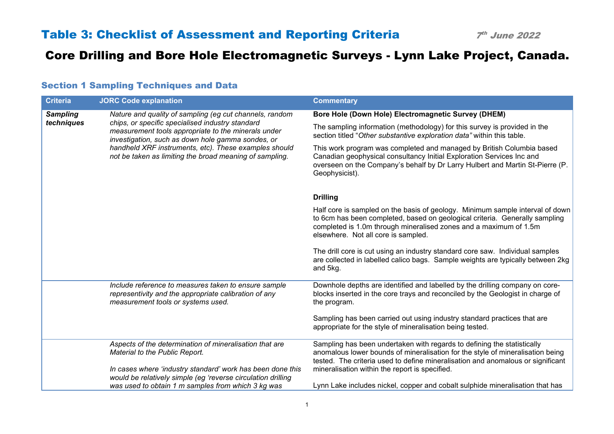| <b>Criteria</b> | <b>JORC Code explanation</b>                                                                                                                                 | <b>Commentary</b>                                                                                                                                                                                                                                                        |
|-----------------|--------------------------------------------------------------------------------------------------------------------------------------------------------------|--------------------------------------------------------------------------------------------------------------------------------------------------------------------------------------------------------------------------------------------------------------------------|
| <b>Sampling</b> | Nature and quality of sampling (eg cut channels, random                                                                                                      | Bore Hole (Down Hole) Electromagnetic Survey (DHEM)                                                                                                                                                                                                                      |
| techniques      | chips, or specific specialised industry standard<br>measurement tools appropriate to the minerals under<br>investigation, such as down hole gamma sondes, or | The sampling information (methodology) for this survey is provided in the<br>section titled "Other substantive exploration data" within this table.                                                                                                                      |
|                 | handheld XRF instruments, etc). These examples should<br>not be taken as limiting the broad meaning of sampling.                                             | This work program was completed and managed by British Columbia based<br>Canadian geophysical consultancy Initial Exploration Services Inc and<br>overseen on the Company's behalf by Dr Larry Hulbert and Martin St-Pierre (P.<br>Geophysicist).                        |
|                 |                                                                                                                                                              | <b>Drilling</b>                                                                                                                                                                                                                                                          |
|                 |                                                                                                                                                              | Half core is sampled on the basis of geology. Minimum sample interval of down<br>to 6cm has been completed, based on geological criteria. Generally sampling<br>completed is 1.0m through mineralised zones and a maximum of 1.5m<br>elsewhere. Not all core is sampled. |
|                 |                                                                                                                                                              | The drill core is cut using an industry standard core saw. Individual samples<br>are collected in labelled calico bags. Sample weights are typically between 2kg<br>and 5kg.                                                                                             |
|                 | Include reference to measures taken to ensure sample<br>representivity and the appropriate calibration of any<br>measurement tools or systems used.          | Downhole depths are identified and labelled by the drilling company on core-<br>blocks inserted in the core trays and reconciled by the Geologist in charge of<br>the program.                                                                                           |
|                 |                                                                                                                                                              | Sampling has been carried out using industry standard practices that are<br>appropriate for the style of mineralisation being tested.                                                                                                                                    |
|                 | Aspects of the determination of mineralisation that are<br>Material to the Public Report.                                                                    | Sampling has been undertaken with regards to defining the statistically<br>anomalous lower bounds of mineralisation for the style of mineralisation being<br>tested. The criteria used to define mineralisation and anomalous or significant                             |
|                 | In cases where 'industry standard' work has been done this<br>would be relatively simple (eg 'reverse circulation drilling                                   | mineralisation within the report is specified.                                                                                                                                                                                                                           |
|                 | was used to obtain 1 m samples from which 3 kg was                                                                                                           | Lynn Lake includes nickel, copper and cobalt sulphide mineralisation that has                                                                                                                                                                                            |

#### Section 1 Sampling Techniques and Data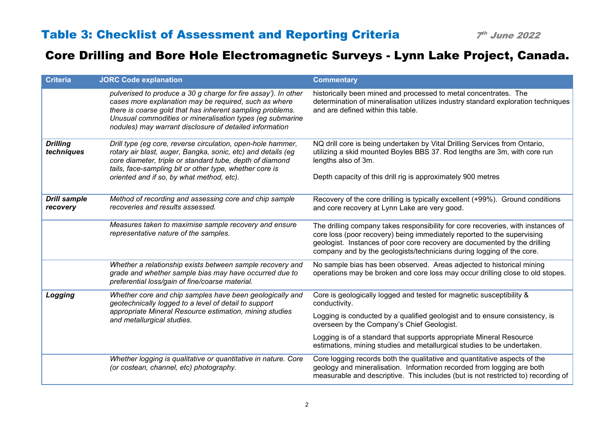| <b>Criteria</b>                 | <b>JORC Code explanation</b>                                                                                                                                                                                                                                                                                 | <b>Commentary</b>                                                                                                                                                                                                                                                                                                 |
|---------------------------------|--------------------------------------------------------------------------------------------------------------------------------------------------------------------------------------------------------------------------------------------------------------------------------------------------------------|-------------------------------------------------------------------------------------------------------------------------------------------------------------------------------------------------------------------------------------------------------------------------------------------------------------------|
|                                 | pulverised to produce a 30 g charge for fire assay'). In other<br>cases more explanation may be required, such as where<br>there is coarse gold that has inherent sampling problems.<br>Unusual commodities or mineralisation types (eg submarine<br>nodules) may warrant disclosure of detailed information | historically been mined and processed to metal concentrates. The<br>determination of mineralisation utilizes industry standard exploration techniques<br>and are defined within this table.                                                                                                                       |
| <b>Drilling</b><br>techniques   | Drill type (eg core, reverse circulation, open-hole hammer,<br>rotary air blast, auger, Bangka, sonic, etc) and details (eg<br>core diameter, triple or standard tube, depth of diamond<br>tails, face-sampling bit or other type, whether core is                                                           | NQ drill core is being undertaken by Vital Drilling Services from Ontario,<br>utilizing a skid mounted Boyles BBS 37. Rod lengths are 3m, with core run<br>lengths also of 3m.                                                                                                                                    |
|                                 | oriented and if so, by what method, etc).                                                                                                                                                                                                                                                                    | Depth capacity of this drill rig is approximately 900 metres                                                                                                                                                                                                                                                      |
| <b>Drill sample</b><br>recovery | Method of recording and assessing core and chip sample<br>recoveries and results assessed.                                                                                                                                                                                                                   | Recovery of the core drilling is typically excellent (+99%). Ground conditions<br>and core recovery at Lynn Lake are very good.                                                                                                                                                                                   |
|                                 | Measures taken to maximise sample recovery and ensure<br>representative nature of the samples.                                                                                                                                                                                                               | The drilling company takes responsibility for core recoveries, with instances of<br>core loss (poor recovery) being immediately reported to the supervising<br>geologist. Instances of poor core recovery are documented by the drilling<br>company and by the geologists/technicians during logging of the core. |
|                                 | Whether a relationship exists between sample recovery and<br>grade and whether sample bias may have occurred due to<br>preferential loss/gain of fine/coarse material.                                                                                                                                       | No sample bias has been observed. Areas adjected to historical mining<br>operations may be broken and core loss may occur drilling close to old stopes.                                                                                                                                                           |
| Logging                         | Whether core and chip samples have been geologically and<br>geotechnically logged to a level of detail to support                                                                                                                                                                                            | Core is geologically logged and tested for magnetic susceptibility &<br>conductivity.                                                                                                                                                                                                                             |
|                                 | appropriate Mineral Resource estimation, mining studies<br>and metallurgical studies.                                                                                                                                                                                                                        | Logging is conducted by a qualified geologist and to ensure consistency, is<br>overseen by the Company's Chief Geologist.                                                                                                                                                                                         |
|                                 |                                                                                                                                                                                                                                                                                                              | Logging is of a standard that supports appropriate Mineral Resource<br>estimations, mining studies and metallurgical studies to be undertaken.                                                                                                                                                                    |
|                                 | Whether logging is qualitative or quantitative in nature. Core<br>(or costean, channel, etc) photography.                                                                                                                                                                                                    | Core logging records both the qualitative and quantitative aspects of the<br>geology and mineralisation. Information recorded from logging are both<br>measurable and descriptive. This includes (but is not restricted to) recording of                                                                          |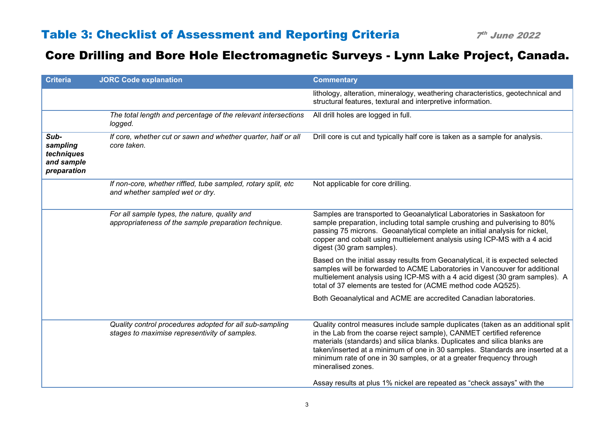| <b>Criteria</b>                                             | <b>JORC Code explanation</b>                                                                             | <b>Commentary</b>                                                                                                                                                                                                                                                                                                                                                                                                     |
|-------------------------------------------------------------|----------------------------------------------------------------------------------------------------------|-----------------------------------------------------------------------------------------------------------------------------------------------------------------------------------------------------------------------------------------------------------------------------------------------------------------------------------------------------------------------------------------------------------------------|
|                                                             |                                                                                                          | lithology, alteration, mineralogy, weathering characteristics, geotechnical and<br>structural features, textural and interpretive information.                                                                                                                                                                                                                                                                        |
|                                                             | The total length and percentage of the relevant intersections<br>logged.                                 | All drill holes are logged in full.                                                                                                                                                                                                                                                                                                                                                                                   |
| Sub-<br>sampling<br>techniques<br>and sample<br>preparation | If core, whether cut or sawn and whether quarter, half or all<br>core taken.                             | Drill core is cut and typically half core is taken as a sample for analysis.                                                                                                                                                                                                                                                                                                                                          |
|                                                             | If non-core, whether riffled, tube sampled, rotary split, etc<br>and whether sampled wet or dry.         | Not applicable for core drilling.                                                                                                                                                                                                                                                                                                                                                                                     |
|                                                             | For all sample types, the nature, quality and<br>appropriateness of the sample preparation technique.    | Samples are transported to Geoanalytical Laboratories in Saskatoon for<br>sample preparation, including total sample crushing and pulverising to 80%<br>passing 75 microns. Geoanalytical complete an initial analysis for nickel,<br>copper and cobalt using multielement analysis using ICP-MS with a 4 acid<br>digest (30 gram samples).                                                                           |
|                                                             |                                                                                                          | Based on the initial assay results from Geoanalytical, it is expected selected<br>samples will be forwarded to ACME Laboratories in Vancouver for additional<br>multielement analysis using ICP-MS with a 4 acid digest (30 gram samples). A<br>total of 37 elements are tested for (ACME method code AQ525).                                                                                                         |
|                                                             |                                                                                                          | Both Geoanalytical and ACME are accredited Canadian laboratories.                                                                                                                                                                                                                                                                                                                                                     |
|                                                             | Quality control procedures adopted for all sub-sampling<br>stages to maximise representivity of samples. | Quality control measures include sample duplicates (taken as an additional split<br>in the Lab from the coarse reject sample), CANMET certified reference<br>materials (standards) and silica blanks. Duplicates and silica blanks are<br>taken/inserted at a minimum of one in 30 samples. Standards are inserted at a<br>minimum rate of one in 30 samples, or at a greater frequency through<br>mineralised zones. |
|                                                             |                                                                                                          | Assay results at plus 1% nickel are repeated as "check assays" with the                                                                                                                                                                                                                                                                                                                                               |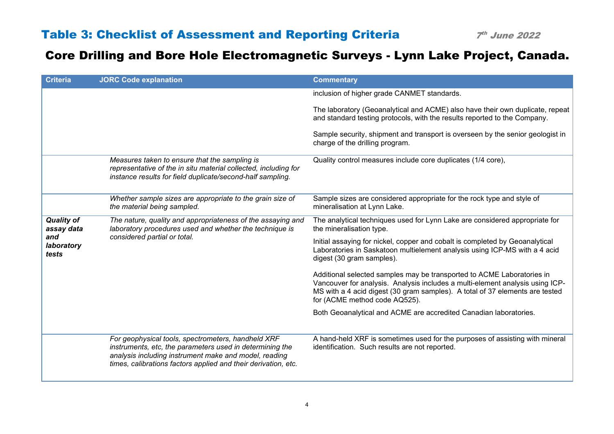| <b>Criteria</b>                                               | <b>JORC Code explanation</b>                                                                                                                                                                                                              | <b>Commentary</b>                                                                                                                                                                                                                                                        |
|---------------------------------------------------------------|-------------------------------------------------------------------------------------------------------------------------------------------------------------------------------------------------------------------------------------------|--------------------------------------------------------------------------------------------------------------------------------------------------------------------------------------------------------------------------------------------------------------------------|
|                                                               |                                                                                                                                                                                                                                           | inclusion of higher grade CANMET standards.                                                                                                                                                                                                                              |
|                                                               |                                                                                                                                                                                                                                           | The laboratory (Geoanalytical and ACME) also have their own duplicate, repeat<br>and standard testing protocols, with the results reported to the Company.                                                                                                               |
|                                                               |                                                                                                                                                                                                                                           | Sample security, shipment and transport is overseen by the senior geologist in<br>charge of the drilling program.                                                                                                                                                        |
|                                                               | Measures taken to ensure that the sampling is<br>representative of the in situ material collected, including for<br>instance results for field duplicate/second-half sampling.                                                            | Quality control measures include core duplicates (1/4 core),                                                                                                                                                                                                             |
|                                                               | Whether sample sizes are appropriate to the grain size of<br>the material being sampled.                                                                                                                                                  | Sample sizes are considered appropriate for the rock type and style of<br>mineralisation at Lynn Lake.                                                                                                                                                                   |
| <b>Quality of</b><br>assay data<br>and<br>laboratory<br>tests | The nature, quality and appropriateness of the assaying and<br>laboratory procedures used and whether the technique is                                                                                                                    | The analytical techniques used for Lynn Lake are considered appropriate for<br>the mineralisation type.                                                                                                                                                                  |
|                                                               | considered partial or total.                                                                                                                                                                                                              | Initial assaying for nickel, copper and cobalt is completed by Geoanalytical<br>Laboratories in Saskatoon multielement analysis using ICP-MS with a 4 acid<br>digest (30 gram samples).                                                                                  |
|                                                               |                                                                                                                                                                                                                                           | Additional selected samples may be transported to ACME Laboratories in<br>Vancouver for analysis. Analysis includes a multi-element analysis using ICP-<br>MS with a 4 acid digest (30 gram samples). A total of 37 elements are tested<br>for (ACME method code AQ525). |
|                                                               |                                                                                                                                                                                                                                           | Both Geoanalytical and ACME are accredited Canadian laboratories.                                                                                                                                                                                                        |
|                                                               |                                                                                                                                                                                                                                           |                                                                                                                                                                                                                                                                          |
|                                                               | For geophysical tools, spectrometers, handheld XRF<br>instruments, etc, the parameters used in determining the<br>analysis including instrument make and model, reading<br>times, calibrations factors applied and their derivation, etc. | A hand-held XRF is sometimes used for the purposes of assisting with mineral<br>identification. Such results are not reported.                                                                                                                                           |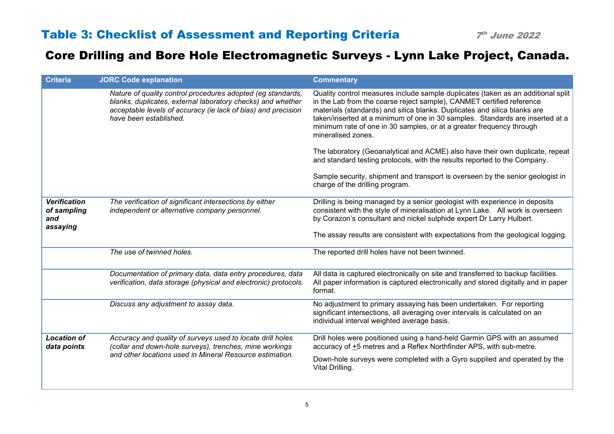| <b>Criteria</b>                                       | <b>JORC Code explanation</b>                                                                                                                                                                                          | <b>Commentary</b>                                                                                                                                                                                                                                                                                                                                                                                                     |
|-------------------------------------------------------|-----------------------------------------------------------------------------------------------------------------------------------------------------------------------------------------------------------------------|-----------------------------------------------------------------------------------------------------------------------------------------------------------------------------------------------------------------------------------------------------------------------------------------------------------------------------------------------------------------------------------------------------------------------|
|                                                       | Nature of quality control procedures adopted (eg standards,<br>blanks, duplicates, external laboratory checks) and whether<br>acceptable levels of accuracy (ie lack of bias) and precision<br>have been established. | Quality control measures include sample duplicates (taken as an additional split<br>in the Lab from the coarse reject sample), CANMET certified reference<br>materials (standards) and silica blanks. Duplicates and silica blanks are<br>taken/inserted at a minimum of one in 30 samples. Standards are inserted at a<br>minimum rate of one in 30 samples, or at a greater frequency through<br>mineralised zones. |
|                                                       |                                                                                                                                                                                                                       | The laboratory (Geoanalytical and ACME) also have their own duplicate, repeat<br>and standard testing protocols, with the results reported to the Company.                                                                                                                                                                                                                                                            |
|                                                       |                                                                                                                                                                                                                       | Sample security, shipment and transport is overseen by the senior geologist in<br>charge of the drilling program.                                                                                                                                                                                                                                                                                                     |
| <b>Verification</b><br>of sampling<br>and<br>assaying | The verification of significant intersections by either<br>independent or alternative company personnel.                                                                                                              | Drilling is being managed by a senior geologist with experience in deposits<br>consistent with the style of mineralisation at Lynn Lake. All work is overseen<br>by Corazon's consultant and nickel sulphide expert Dr Larry Hulbert.                                                                                                                                                                                 |
|                                                       |                                                                                                                                                                                                                       | The assay results are consistent with expectations from the geological logging.                                                                                                                                                                                                                                                                                                                                       |
|                                                       | The use of twinned holes.                                                                                                                                                                                             | The reported drill holes have not been twinned.                                                                                                                                                                                                                                                                                                                                                                       |
|                                                       | Documentation of primary data, data entry procedures, data<br>verification, data storage (physical and electronic) protocols.                                                                                         | All data is captured electronically on site and transferred to backup facilities.<br>All paper information is captured electronically and stored digitally and in paper<br>format.                                                                                                                                                                                                                                    |
|                                                       | Discuss any adjustment to assay data.                                                                                                                                                                                 | No adjustment to primary assaying has been undertaken. For reporting<br>significant intersections, all averaging over intervals is calculated on an<br>individual interval weighted average basis.                                                                                                                                                                                                                    |
| <b>Location of</b><br>data points                     | Accuracy and quality of surveys used to locate drill holes<br>(collar and down-hole surveys), trenches, mine workings                                                                                                 | Drill holes were positioned using a hand-held Garmin GPS with an assumed<br>accuracy of +5 metres and a Reflex Northfinder APS, with sub-metre.                                                                                                                                                                                                                                                                       |
|                                                       | and other locations used in Mineral Resource estimation.                                                                                                                                                              | Down-hole surveys were completed with a Gyro supplied and operated by the<br>Vital Drilling.                                                                                                                                                                                                                                                                                                                          |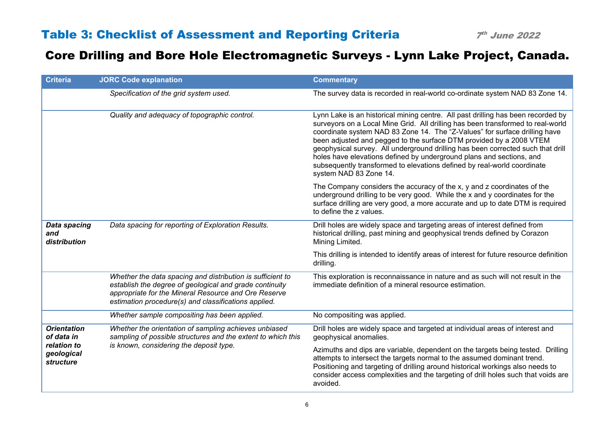| <b>Criteria</b>                            | <b>JORC Code explanation</b>                                                                                                                                                                                                          | <b>Commentary</b>                                                                                                                                                                                                                                                                                                                                                                                                                                                                                                                                                                        |
|--------------------------------------------|---------------------------------------------------------------------------------------------------------------------------------------------------------------------------------------------------------------------------------------|------------------------------------------------------------------------------------------------------------------------------------------------------------------------------------------------------------------------------------------------------------------------------------------------------------------------------------------------------------------------------------------------------------------------------------------------------------------------------------------------------------------------------------------------------------------------------------------|
|                                            | Specification of the grid system used.                                                                                                                                                                                                | The survey data is recorded in real-world co-ordinate system NAD 83 Zone 14.                                                                                                                                                                                                                                                                                                                                                                                                                                                                                                             |
|                                            | Quality and adequacy of topographic control.                                                                                                                                                                                          | Lynn Lake is an historical mining centre. All past drilling has been recorded by<br>surveyors on a Local Mine Grid. All drilling has been transformed to real-world<br>coordinate system NAD 83 Zone 14. The "Z-Values" for surface drilling have<br>been adjusted and pegged to the surface DTM provided by a 2008 VTEM<br>geophysical survey. All underground drilling has been corrected such that drill<br>holes have elevations defined by underground plans and sections, and<br>subsequently transformed to elevations defined by real-world coordinate<br>system NAD 83 Zone 14. |
|                                            |                                                                                                                                                                                                                                       | The Company considers the accuracy of the x, y and z coordinates of the<br>underground drilling to be very good. While the x and y coordinates for the<br>surface drilling are very good, a more accurate and up to date DTM is required<br>to define the z values.                                                                                                                                                                                                                                                                                                                      |
| <b>Data spacing</b><br>and<br>distribution | Data spacing for reporting of Exploration Results.                                                                                                                                                                                    | Drill holes are widely space and targeting areas of interest defined from<br>historical drilling, past mining and geophysical trends defined by Corazon<br>Mining Limited.                                                                                                                                                                                                                                                                                                                                                                                                               |
|                                            |                                                                                                                                                                                                                                       | This drilling is intended to identify areas of interest for future resource definition<br>drilling.                                                                                                                                                                                                                                                                                                                                                                                                                                                                                      |
|                                            | Whether the data spacing and distribution is sufficient to<br>establish the degree of geological and grade continuity<br>appropriate for the Mineral Resource and Ore Reserve<br>estimation procedure(s) and classifications applied. | This exploration is reconnaissance in nature and as such will not result in the<br>immediate definition of a mineral resource estimation.                                                                                                                                                                                                                                                                                                                                                                                                                                                |
|                                            | Whether sample compositing has been applied.                                                                                                                                                                                          | No compositing was applied.                                                                                                                                                                                                                                                                                                                                                                                                                                                                                                                                                              |
| <b>Orientation</b><br>of data in           | Whether the orientation of sampling achieves unbiased<br>sampling of possible structures and the extent to which this                                                                                                                 | Drill holes are widely space and targeted at individual areas of interest and<br>geophysical anomalies.                                                                                                                                                                                                                                                                                                                                                                                                                                                                                  |
| relation to<br>geological<br>structure     | is known, considering the deposit type.                                                                                                                                                                                               | Azimuths and dips are variable, dependent on the targets being tested. Drilling<br>attempts to intersect the targets normal to the assumed dominant trend.<br>Positioning and targeting of drilling around historical workings also needs to<br>consider access complexities and the targeting of drill holes such that voids are<br>avoided.                                                                                                                                                                                                                                            |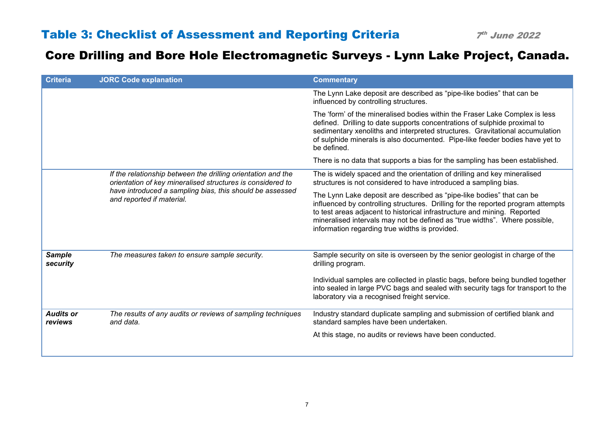| <b>Criteria</b>             | <b>JORC Code explanation</b>                                                                                               | <b>Commentary</b>                                                                                                                                                                                                                                                                                                                                                     |
|-----------------------------|----------------------------------------------------------------------------------------------------------------------------|-----------------------------------------------------------------------------------------------------------------------------------------------------------------------------------------------------------------------------------------------------------------------------------------------------------------------------------------------------------------------|
|                             |                                                                                                                            | The Lynn Lake deposit are described as "pipe-like bodies" that can be<br>influenced by controlling structures.                                                                                                                                                                                                                                                        |
|                             |                                                                                                                            | The 'form' of the mineralised bodies within the Fraser Lake Complex is less<br>defined. Drilling to date supports concentrations of sulphide proximal to<br>sedimentary xenoliths and interpreted structures. Gravitational accumulation<br>of sulphide minerals is also documented. Pipe-like feeder bodies have yet to<br>be defined.                               |
|                             |                                                                                                                            | There is no data that supports a bias for the sampling has been established.                                                                                                                                                                                                                                                                                          |
|                             | If the relationship between the drilling orientation and the<br>orientation of key mineralised structures is considered to | The is widely spaced and the orientation of drilling and key mineralised<br>structures is not considered to have introduced a sampling bias.                                                                                                                                                                                                                          |
|                             | have introduced a sampling bias, this should be assessed<br>and reported if material.                                      | The Lynn Lake deposit are described as "pipe-like bodies" that can be<br>influenced by controlling structures. Drilling for the reported program attempts<br>to test areas adjacent to historical infrastructure and mining. Reported<br>mineralised intervals may not be defined as "true widths". Where possible,<br>information regarding true widths is provided. |
| <b>Sample</b><br>security   | The measures taken to ensure sample security.                                                                              | Sample security on site is overseen by the senior geologist in charge of the<br>drilling program.                                                                                                                                                                                                                                                                     |
|                             |                                                                                                                            | Individual samples are collected in plastic bags, before being bundled together<br>into sealed in large PVC bags and sealed with security tags for transport to the<br>laboratory via a recognised freight service.                                                                                                                                                   |
| <b>Audits or</b><br>reviews | The results of any audits or reviews of sampling techniques<br>and data.                                                   | Industry standard duplicate sampling and submission of certified blank and<br>standard samples have been undertaken.                                                                                                                                                                                                                                                  |
|                             |                                                                                                                            | At this stage, no audits or reviews have been conducted.                                                                                                                                                                                                                                                                                                              |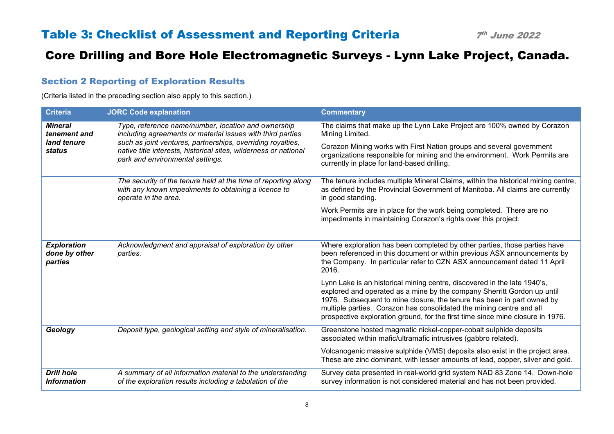#### Section 2 Reporting of Exploration Results

(Criteria listed in the preceding section also apply to this section.)

| <b>Criteria</b>                                | <b>JORC Code explanation</b>                                                                                                                                        | <b>Commentary</b>                                                                                                                                                                                                                                                                                                                                                                       |
|------------------------------------------------|---------------------------------------------------------------------------------------------------------------------------------------------------------------------|-----------------------------------------------------------------------------------------------------------------------------------------------------------------------------------------------------------------------------------------------------------------------------------------------------------------------------------------------------------------------------------------|
| <b>Mineral</b><br>tenement and                 | Type, reference name/number, location and ownership<br>including agreements or material issues with third parties                                                   | The claims that make up the Lynn Lake Project are 100% owned by Corazon<br>Mining Limited.                                                                                                                                                                                                                                                                                              |
| land tenure<br>status                          | such as joint ventures, partnerships, overriding royalties,<br>native title interests, historical sites, wilderness or national<br>park and environmental settings. | Corazon Mining works with First Nation groups and several government<br>organizations responsible for mining and the environment. Work Permits are<br>currently in place for land-based drilling.                                                                                                                                                                                       |
|                                                | The security of the tenure held at the time of reporting along<br>with any known impediments to obtaining a licence to<br>operate in the area.                      | The tenure includes multiple Mineral Claims, within the historical mining centre,<br>as defined by the Provincial Government of Manitoba. All claims are currently<br>in good standing.                                                                                                                                                                                                 |
|                                                |                                                                                                                                                                     | Work Permits are in place for the work being completed. There are no<br>impediments in maintaining Corazon's rights over this project.                                                                                                                                                                                                                                                  |
| <b>Exploration</b><br>done by other<br>parties | Acknowledgment and appraisal of exploration by other<br>parties.                                                                                                    | Where exploration has been completed by other parties, those parties have<br>been referenced in this document or within previous ASX announcements by<br>the Company. In particular refer to CZN ASX announcement dated 11 April<br>2016.                                                                                                                                               |
|                                                |                                                                                                                                                                     | Lynn Lake is an historical mining centre, discovered in the late 1940's,<br>explored and operated as a mine by the company Sherritt Gordon up until<br>1976. Subsequent to mine closure, the tenure has been in part owned by<br>multiple parties. Corazon has consolidated the mining centre and all<br>prospective exploration ground, for the first time since mine closure in 1976. |
| Geology                                        | Deposit type, geological setting and style of mineralisation.                                                                                                       | Greenstone hosted magmatic nickel-copper-cobalt sulphide deposits<br>associated within mafic/ultramafic intrusives (gabbro related).                                                                                                                                                                                                                                                    |
|                                                |                                                                                                                                                                     | Volcanogenic massive sulphide (VMS) deposits also exist in the project area.<br>These are zinc dominant, with lesser amounts of lead, copper, silver and gold.                                                                                                                                                                                                                          |
| <b>Drill hole</b><br><b>Information</b>        | A summary of all information material to the understanding<br>of the exploration results including a tabulation of the                                              | Survey data presented in real-world grid system NAD 83 Zone 14. Down-hole<br>survey information is not considered material and has not been provided.                                                                                                                                                                                                                                   |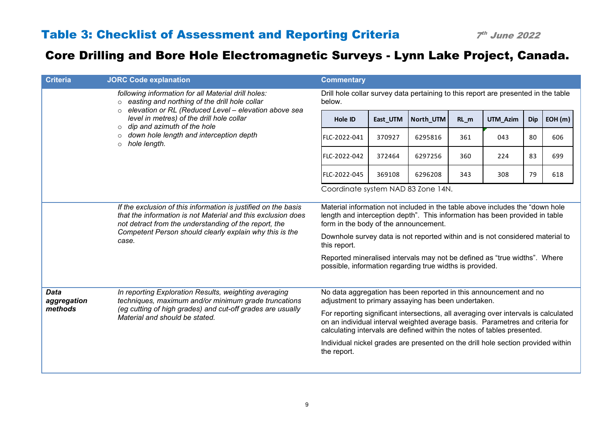| <b>Criteria</b>            | <b>JORC Code explanation</b>                                                                                                                                                                                                                                | <b>Commentary</b>                                                                                                                                                                                                                               |                                                                                                                          |           |        |          |            |        |  |
|----------------------------|-------------------------------------------------------------------------------------------------------------------------------------------------------------------------------------------------------------------------------------------------------------|-------------------------------------------------------------------------------------------------------------------------------------------------------------------------------------------------------------------------------------------------|--------------------------------------------------------------------------------------------------------------------------|-----------|--------|----------|------------|--------|--|
|                            | following information for all Material drill holes:<br>o easting and northing of the drill hole collar<br>$\circ$ elevation or RL (Reduced Level – elevation above sea                                                                                      | Drill hole collar survey data pertaining to this report are presented in the table<br>below.                                                                                                                                                    |                                                                                                                          |           |        |          |            |        |  |
|                            | level in metres) of the drill hole collar<br>$\circ$ dip and azimuth of the hole                                                                                                                                                                            | Hole ID                                                                                                                                                                                                                                         | East_UTM                                                                                                                 | North_UTM | $RL_m$ | UTM_Azim | <b>Dip</b> | EOH(m) |  |
|                            | $\circ$ down hole length and interception depth<br>$\circ$ hole length.                                                                                                                                                                                     | FLC-2022-041                                                                                                                                                                                                                                    | 370927                                                                                                                   | 6295816   | 361    | 043      | 80         | 606    |  |
|                            |                                                                                                                                                                                                                                                             | FLC-2022-042                                                                                                                                                                                                                                    | 372464                                                                                                                   | 6297256   | 360    | 224      | 83         | 699    |  |
|                            |                                                                                                                                                                                                                                                             | FLC-2022-045                                                                                                                                                                                                                                    | 369108                                                                                                                   | 6296208   | 343    | 308      | 79         | 618    |  |
|                            |                                                                                                                                                                                                                                                             | Coordinate system NAD 83 Zone 14N.                                                                                                                                                                                                              |                                                                                                                          |           |        |          |            |        |  |
|                            | If the exclusion of this information is justified on the basis<br>that the information is not Material and this exclusion does<br>not detract from the understanding of the report, the<br>Competent Person should clearly explain why this is the<br>case. | Material information not included in the table above includes the "down hole"<br>length and interception depth". This information has been provided in table<br>form in the body of the announcement.                                           |                                                                                                                          |           |        |          |            |        |  |
|                            |                                                                                                                                                                                                                                                             | Downhole survey data is not reported within and is not considered material to<br>this report.                                                                                                                                                   |                                                                                                                          |           |        |          |            |        |  |
|                            |                                                                                                                                                                                                                                                             | Reported mineralised intervals may not be defined as "true widths". Where<br>possible, information regarding true widths is provided.                                                                                                           |                                                                                                                          |           |        |          |            |        |  |
| <b>Data</b><br>aggregation | In reporting Exploration Results, weighting averaging<br>techniques, maximum and/or minimum grade truncations                                                                                                                                               |                                                                                                                                                                                                                                                 | No data aggregation has been reported in this announcement and no<br>adjustment to primary assaying has been undertaken. |           |        |          |            |        |  |
| methods                    | (eg cutting of high grades) and cut-off grades are usually<br>Material and should be stated.                                                                                                                                                                | For reporting significant intersections, all averaging over intervals is calculated<br>on an individual interval weighted average basis. Parametres and criteria for<br>calculating intervals are defined within the notes of tables presented. |                                                                                                                          |           |        |          |            |        |  |
|                            |                                                                                                                                                                                                                                                             | Individual nickel grades are presented on the drill hole section provided within<br>the report.                                                                                                                                                 |                                                                                                                          |           |        |          |            |        |  |
|                            |                                                                                                                                                                                                                                                             |                                                                                                                                                                                                                                                 |                                                                                                                          |           |        |          |            |        |  |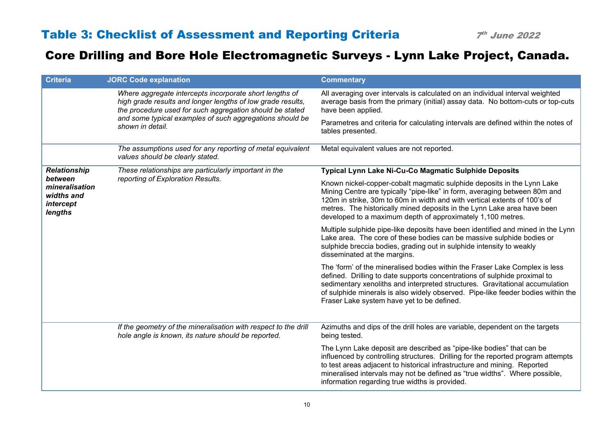| <b>Criteria</b>                                                 | <b>JORC Code explanation</b>                                                                                                                                                       | <b>Commentary</b>                                                                                                                                                                                                                                                                                                                                                           |
|-----------------------------------------------------------------|------------------------------------------------------------------------------------------------------------------------------------------------------------------------------------|-----------------------------------------------------------------------------------------------------------------------------------------------------------------------------------------------------------------------------------------------------------------------------------------------------------------------------------------------------------------------------|
|                                                                 | Where aggregate intercepts incorporate short lengths of<br>high grade results and longer lengths of low grade results,<br>the procedure used for such aggregation should be stated | All averaging over intervals is calculated on an individual interval weighted<br>average basis from the primary (initial) assay data. No bottom-cuts or top-cuts<br>have been applied.                                                                                                                                                                                      |
|                                                                 | and some typical examples of such aggregations should be<br>shown in detail.                                                                                                       | Parametres and criteria for calculating intervals are defined within the notes of<br>tables presented.                                                                                                                                                                                                                                                                      |
|                                                                 | The assumptions used for any reporting of metal equivalent<br>values should be clearly stated.                                                                                     | Metal equivalent values are not reported.                                                                                                                                                                                                                                                                                                                                   |
| <b>Relationship</b>                                             | These relationships are particularly important in the                                                                                                                              | Typical Lynn Lake Ni-Cu-Co Magmatic Sulphide Deposits                                                                                                                                                                                                                                                                                                                       |
| between<br>mineralisation<br>widths and<br>intercept<br>lengths | reporting of Exploration Results.                                                                                                                                                  | Known nickel-copper-cobalt magmatic sulphide deposits in the Lynn Lake<br>Mining Centre are typically "pipe-like" in form, averaging between 80m and<br>120m in strike, 30m to 60m in width and with vertical extents of 100's of<br>metres. The historically mined deposits in the Lynn Lake area have been<br>developed to a maximum depth of approximately 1,100 metres. |
|                                                                 |                                                                                                                                                                                    | Multiple sulphide pipe-like deposits have been identified and mined in the Lynn<br>Lake area. The core of these bodies can be massive sulphide bodies or<br>sulphide breccia bodies, grading out in sulphide intensity to weakly<br>disseminated at the margins.                                                                                                            |
|                                                                 |                                                                                                                                                                                    | The 'form' of the mineralised bodies within the Fraser Lake Complex is less<br>defined. Drilling to date supports concentrations of sulphide proximal to<br>sedimentary xenoliths and interpreted structures. Gravitational accumulation<br>of sulphide minerals is also widely observed. Pipe-like feeder bodies within the<br>Fraser Lake system have yet to be defined.  |
|                                                                 | If the geometry of the mineralisation with respect to the drill<br>hole angle is known, its nature should be reported.                                                             | Azimuths and dips of the drill holes are variable, dependent on the targets<br>being tested.                                                                                                                                                                                                                                                                                |
|                                                                 |                                                                                                                                                                                    | The Lynn Lake deposit are described as "pipe-like bodies" that can be<br>influenced by controlling structures. Drilling for the reported program attempts<br>to test areas adjacent to historical infrastructure and mining. Reported<br>mineralised intervals may not be defined as "true widths". Where possible,<br>information regarding true widths is provided.       |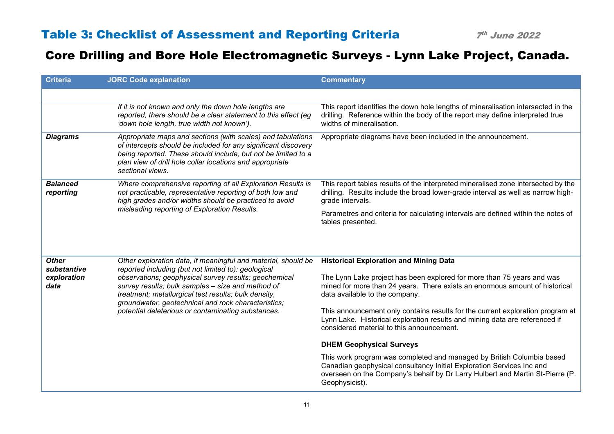| <b>Criteria</b>              | <b>JORC Code explanation</b>                                                                                                                                                                                                                                                    | <b>Commentary</b>                                                                                                                                                                                                                                 |
|------------------------------|---------------------------------------------------------------------------------------------------------------------------------------------------------------------------------------------------------------------------------------------------------------------------------|---------------------------------------------------------------------------------------------------------------------------------------------------------------------------------------------------------------------------------------------------|
|                              |                                                                                                                                                                                                                                                                                 |                                                                                                                                                                                                                                                   |
|                              | If it is not known and only the down hole lengths are<br>reported, there should be a clear statement to this effect (eg<br>'down hole length, true width not known').                                                                                                           | This report identifies the down hole lengths of mineralisation intersected in the<br>drilling. Reference within the body of the report may define interpreted true<br>widths of mineralisation.                                                   |
| <b>Diagrams</b>              | Appropriate maps and sections (with scales) and tabulations<br>of intercepts should be included for any significant discovery<br>being reported. These should include, but not be limited to a<br>plan view of drill hole collar locations and appropriate<br>sectional views.  | Appropriate diagrams have been included in the announcement.                                                                                                                                                                                      |
| <b>Balanced</b><br>reporting | Where comprehensive reporting of all Exploration Results is<br>not practicable, representative reporting of both low and<br>high grades and/or widths should be practiced to avoid<br>misleading reporting of Exploration Results.                                              | This report tables results of the interpreted mineralised zone intersected by the<br>drilling. Results include the broad lower-grade interval as well as narrow high-<br>grade intervals.                                                         |
|                              |                                                                                                                                                                                                                                                                                 | Parametres and criteria for calculating intervals are defined within the notes of<br>tables presented.                                                                                                                                            |
|                              |                                                                                                                                                                                                                                                                                 |                                                                                                                                                                                                                                                   |
| <b>Other</b><br>substantive  | Other exploration data, if meaningful and material, should be<br>reported including (but not limited to): geological                                                                                                                                                            | <b>Historical Exploration and Mining Data</b>                                                                                                                                                                                                     |
| exploration<br>data          | observations; geophysical survey results; geochemical<br>survey results; bulk samples - size and method of<br>treatment; metallurgical test results; bulk density,<br>groundwater, geotechnical and rock characteristics;<br>potential deleterious or contaminating substances. | The Lynn Lake project has been explored for more than 75 years and was<br>mined for more than 24 years. There exists an enormous amount of historical<br>data available to the company.                                                           |
|                              |                                                                                                                                                                                                                                                                                 | This announcement only contains results for the current exploration program at<br>Lynn Lake. Historical exploration results and mining data are referenced if<br>considered material to this announcement.                                        |
|                              |                                                                                                                                                                                                                                                                                 | <b>DHEM Geophysical Surveys</b>                                                                                                                                                                                                                   |
|                              |                                                                                                                                                                                                                                                                                 | This work program was completed and managed by British Columbia based<br>Canadian geophysical consultancy Initial Exploration Services Inc and<br>overseen on the Company's behalf by Dr Larry Hulbert and Martin St-Pierre (P.<br>Geophysicist). |